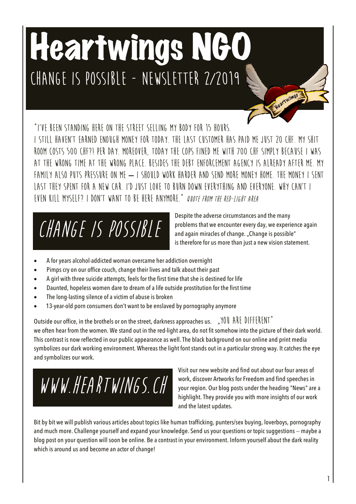# Heartwings NGO **Change is possible - Newsletter 2/2019**

**"I'VE BEEN STANDING HERE ON THE STREET SELLING MY BODY FOR 15 HOURS. I STILL HAVEN'T EARNED ENOUGH MONEY FOR TODAY. THE LAST CUSTOMER HAS PAID ME JUST 20 CHF. MY SHIT ROOM COSTS 500 CHF?! PER DAY. MOREOVER, TODAY THE COPS FINED ME WITH 700 CHF SIMPLY BECAUSE I WAS AT THE WRONG TIME AT THE WRONG PLACE. BESIDES THE DEBT ENFORCEMENT AGENCY IS ALREADY AFTER ME. MY FAMILY ALSO PUTS PRESSURE ON ME – I SHOULD WORK HARDER AND SEND MORE MONEY HOME. THE MONEY I SENT LAST THEY SPENT FOR A NEW CAR. I'D JUST LOVE TO BURN DOWN EVERYTHING AND EVERYONE. WHY CAN'T I EVEN KILL MYSELF? I DON'T WANT TO BE HERE ANYMORE." QUOTE FROM THE RED-LIGHT AREA**

# **Change is possible**

Despite the adverse circumstances and the many problems that we encounter every day, we experience again and again miracles of change. "Change is possible" is therefore for us more than just a new vision statement.

Heartwings

- A for years alcohol-addicted woman overcame her addiction overnight
- Pimps cry on our office couch, change their lives and talk about their past
- A girl with three suicide attempts, feels for the first time that she is destined for life
- Daunted, hopeless women dare to dream of a life outside prostitution for the first time
- The long-lasting silence of a victim of abuse is broken
- 13-year-old porn consumers don't want to be enslaved by pornography anymore

Outside our office, in the brothels or on the street, darkness approaches us. ", AOU ARE DIFFERENT" we often hear from the women. We stand out in the red-light area, do not fit somehow into the picture of their dark world. This contrast is now reflected in our public appearance as well. The black background on our online and print media symbolizes our dark working environment. Whereas the light font stands out in a particular strong way. It catches the eye and symbolizes our work.

**Www.heartwings.ch**

Visit our new website and find out about our four areas of work, discover Artworks for Freedom and find speeches in your region. Our blog posts under the heading "News" are a highlight. They provide you with more insights of our work and the latest updates.

Bit by bit we will publish various articles about topics like human trafficking, punters/sex buying, loverboys, pornography and much more. Challenge yourself and expand your knowledge. Send us your questions or topic suggestions - maybe a blog post on your question will soon be online. Be a contrast in your environment. Inform yourself about the dark reality which is around us and become an actor of change!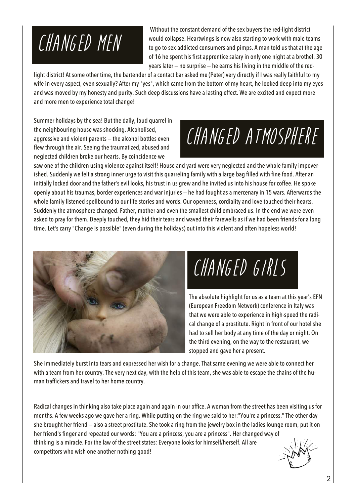## **Changed men**

Without the constant demand of the sex buyers the red-light district would collapse. Heartwings is now also starting to work with male teams to go to sex-addicted consumers and pimps. A man told us that at the age of 16 he spent his first apprentice salary in only one night at a brothel. 30 years later  $-$  no surprise  $-$  he earns his living in the middle of the red-

light district! At some other time, the bartender of a contact bar asked me (Peter) very directly if I was really faithful to my wife in every aspect, even sexually? After my "yes", which came from the bottom of my heart, he looked deep into my eyes and was moved by my honesty and purity. Such deep discussions have a lasting effect. We are excited and expect more and more men to experience total change!

Summer holidays by the sea! But the daily, loud quarrel in the neighbouring house was shocking. Alcoholised, aggressive and violent parents  $-$  the alcohol bottles even flew through the air. Seeing the traumatized, abused and neglected children broke our hearts. By coincidence we

## **Changed Atmosphere**

saw one of the children using violence against itself! House and yard were very neglected and the whole family impoverished. Suddenly we felt a strong inner urge to visit this quarreling family with a large bag filled with fine food. After an initially locked door and the father's evil looks, his trust in us grew and he invited us into his house for coffee. He spoke openly about his traumas, border experiences and war injuries - he had fought as a mercenary in 15 wars. Afterwards the whole family listened spellbound to our life stories and words. Our openness, cordiality and love touched their hearts. Suddenly the atmosphere changed. Father, mother and even the smallest child embraced us. In the end we were even asked to pray for them. Deeply touched, they hid their tears and waved their farewells as if we had been friends for a long time. Let's carry "Change is possible" (even during the holidays) out into this violent and often hopeless world!



**Changed Girls**

The absolute highlight for us as a team at this year's EFN (European Freedom Network) conference in Italy was that we were able to experience in high-speed the radical change of a prostitute. Right in front of our hotel she had to sell her body at any time of the day or night. On the third evening, on the way to the restaurant, we stopped and gave her a present.

She immediately burst into tears and expressed her wish for a change. That same evening we were able to connect her with a team from her country. The very next day, with the help of this team, she was able to escape the chains of the human traffickers and travel to her home country.

Radical changes in thinking also take place again and again in our office. A woman from the street has been visiting us for months. A few weeks ago we gave her a ring. While putting on the ring we said to her:"You're a princess." The other day she brought her friend - also a street prostitute. She took a ring from the jewelry box in the ladies lounge room, put it on her friend's finger and repeated our words: "You are a princess, you are a princess". Her changed way of thinking is a miracle. For the law of the street states: Everyone looks for himself/herself. All are competitors who wish one another nothing good!

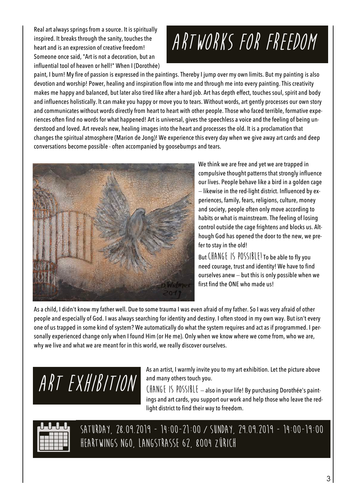Real art always springs from a source. It is spiritually inspired. It breaks through the sanity, touches the heart and is an expression of creative freedom! Someone once said, "Art is not a decoration, but an influential tool of heaven or hell!" When I (Dorothée)

## **Artworks for Freedom**

paint, I burn! My fire of passion is expressed in the paintings. Thereby I jump over my own limits. But my painting is also devotion and worship! Power, healing and inspiration flow into me and through me into every painting. This creativity makes me happy and balanced, but later also tired like after a hard job. Art has depth effect, touches soul, spirit and body and influences holistically. lt can make you happy or move you to tears. Without words, art gently processes our own story and communicates without words directly from heart to heart with other people. Those who faced terrible, formative experiences often find no words for what happened! Art is universal, gives the speechless a voice and the feeling of being understood and loved. Art reveals new, healing images into the heart and processes the old. It is a proclamation that changes the spiritual atmosphere (Marion de Jong)! We experience this every day when we give away art cards and deep conversations become possible - often accompanied by goosebumps and tears.



We think we are free and yet we are trapped in compulsive thought patterns that strongly influence our lives. People behave like a bird in a golden cage - likewise in the red-light district. Influenced by experiences, family, fears, religions, culture, money and society, people often only move according to habits or what is mainstream. The feeling of losing control outside the cage frightens and blocks us. Although God has opened the door to the new, we prefer to stay in the old!

But **Change is possible!** To be able to fly you need courage, trust and identity! We have to find ourselves anew  $-$  but this is only possible when we first find the ONE who made us!

As a child, I didn't know my father well. Due to some trauma I was even afraid of my father. So I was very afraid of other people and especially of God. I was always searching for identity and destiny. I often stood in my own way. But isn't every one of us trapped in some kind of system? We automatically do what the system requires and act as if programmed. I personally experienced change only when I found Him (or He me). Only when we know where we come from, who we are, why we live and what we are meant for in this world, we really discover ourselves.

**Art Exhibition**

As an artist, I warmly invite you to my art exhibition. Let the picture above and many others touch you.

**Change is possible** - also in your life! By purchasing Dorothée's paintings and art cards, you support our work and help those who leave the redlight district to find their way to freedom.



**Saturday, 28.09.2019 - 14:00-21:00 / Sunday, 29.09.2019 - 14:00-19:00 Heartwings Ngo, Langstrasse 62, 8004 Zürich**